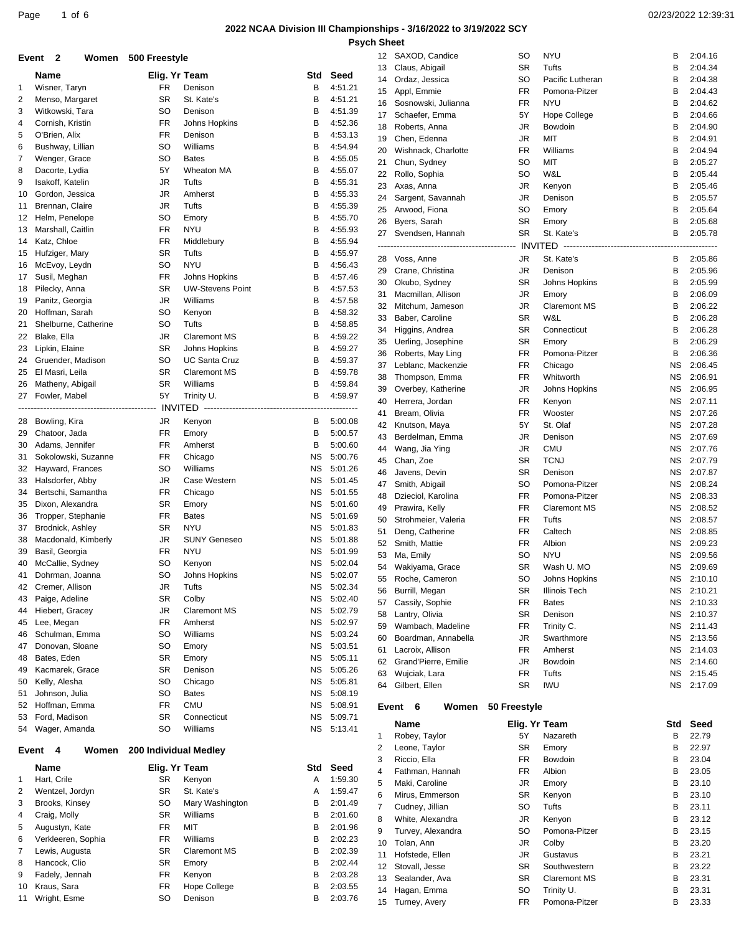# **2022 NCAA Division III Championships - 3/16/2022 to 3/19/2022 SCY**

**Psych Sheet**

|                | Event 2                          | Women 500 Freestyle   |                                |           |                    |          | 12 SAXOD, Candice                     | SO               | <b>NYU</b>              | в         | 2:04.16            |
|----------------|----------------------------------|-----------------------|--------------------------------|-----------|--------------------|----------|---------------------------------------|------------------|-------------------------|-----------|--------------------|
|                | Name                             | Elig. Yr Team         |                                | Std       | Seed               | 13       | Claus, Abigail                        | <b>SR</b>        | Tufts                   | В         | 2:04.34            |
| 1              | Wisner, Taryn                    | <b>FR</b>             | Denison                        | B         | 4:51.21            | 14       | Ordaz, Jessica                        | <b>SO</b>        | Pacific Lutheran        | B         | 2:04.38            |
| $\overline{c}$ | Menso, Margaret                  | <b>SR</b>             | St. Kate's                     | В         | 4:51.21            | 15       | Appl, Emmie                           | <b>FR</b>        | Pomona-Pitzer           | B         | 2:04.43            |
| 3              | Witkowski, Tara                  | <b>SO</b>             | Denison                        | в         | 4:51.39            | 16       | Sosnowski, Julianna                   | FR               | <b>NYU</b>              | В         | 2:04.62            |
| 4              | Cornish, Kristin                 | FR                    | Johns Hopkins                  | В         | 4:52.36            | 17       | Schaefer, Emma<br>Roberts, Anna       | 5Y               | Hope College<br>Bowdoin | В<br>В    | 2:04.66<br>2:04.90 |
| 5              | O'Brien, Alix                    | <b>FR</b>             | Denison                        | в         | 4:53.13            | 18<br>19 | Chen, Edenna                          | JR<br><b>JR</b>  | MIT                     | В         | 2:04.91            |
| 6              | Bushway, Lillian                 | SO                    | Williams                       | в         | 4:54.94            | 20       | Wishnack, Charlotte                   | FR.              | Williams                | В         | 2:04.94            |
| 7              | Wenger, Grace                    | SO                    | <b>Bates</b>                   | В         | 4:55.05            | 21       | Chun, Sydney                          | <b>SO</b>        | MIT                     | в         | 2:05.27            |
| 8              | Dacorte, Lydia                   | 5Y                    | <b>Wheaton MA</b>              | В         | 4:55.07            | 22       | Rollo, Sophia                         | <b>SO</b>        | W&L                     | В         | 2:05.44            |
| 9              | Isakoff, Katelin                 | JR                    | Tufts                          | в         | 4:55.31            | 23       | Axas, Anna                            | JR               | Kenyon                  | В         | 2:05.46            |
| 10             | Gordon, Jessica                  | JR                    | Amherst                        | В         | 4:55.33            | 24       | Sargent, Savannah                     | JR               | Denison                 | В         | 2:05.57            |
| 11             | Brennan, Claire                  | JR                    | Tufts                          | В         | 4:55.39            | 25       | Arwood, Fiona                         | <b>SO</b>        | Emory                   | В         | 2:05.64            |
|                | 12 Helm, Penelope                | <b>SO</b>             | Emory                          | В         | 4:55.70            | 26       | Byers, Sarah                          | <b>SR</b>        | Emory                   | В         | 2:05.68            |
| 13             | Marshall, Caitlin                | FR                    | <b>NYU</b>                     | В         | 4:55.93            | 27       | Svendsen, Hannah                      | <b>SR</b>        | St. Kate's              | В         | 2:05.78            |
| 14             | Katz, Chloe<br>15 Hufziger, Mary | FR<br><b>SR</b>       | Middlebury<br>Tufts            | В<br>B    | 4:55.94<br>4:55.97 |          |                                       | <b>INVI</b>      | ITED.                   |           |                    |
| 16             | McEvoy, Leydn                    | <b>SO</b>             | <b>NYU</b>                     | В         | 4:56.43            |          | 28 Voss, Anne                         | JR               | St. Kate's              | В         | 2:05.86            |
| 17             | Susil, Meghan                    | <b>FR</b>             | Johns Hopkins                  | В         | 4:57.46            | 29       | Crane, Christina                      | JR               | Denison                 | в         | 2:05.96            |
|                | 18 Pilecky, Anna                 | <b>SR</b>             | <b>UW-Stevens Point</b>        | в         | 4:57.53            | 30       | Okubo, Sydney                         | <b>SR</b>        | Johns Hopkins           | в         | 2:05.99            |
| 19             | Panitz, Georgia                  | JR                    | Williams                       | В         | 4:57.58            | 31       | Macmillan, Allison                    | JR               | Emory                   | В         | 2:06.09            |
| 20             | Hoffman, Sarah                   | <b>SO</b>             | Kenyon                         | В         | 4:58.32            | 32       | Mitchum, Jameson                      | JR               | <b>Claremont MS</b>     | В         | 2:06.22            |
| 21             | Shelburne, Catherine             | SO                    | Tufts                          | B         | 4:58.85            | 33       | Baber, Caroline                       | <b>SR</b>        | W&L                     | в         | 2:06.28            |
| 22             | Blake, Ella                      | <b>JR</b>             | <b>Claremont MS</b>            | В         | 4:59.22            | 34       | Higgins, Andrea                       | <b>SR</b>        | Connecticut             | В         | 2:06.28            |
| 23             | Lipkin, Elaine                   | <b>SR</b>             | Johns Hopkins                  | В         | 4:59.27            | 35       | Uerling, Josephine                    | <b>SR</b>        | Emory                   | B         | 2:06.29            |
| 24             | Gruender, Madison                | <b>SO</b>             | <b>UC Santa Cruz</b>           | В         | 4:59.37            | 36       | Roberts, May Ling                     | <b>FR</b>        | Pomona-Pitzer           | в         | 2:06.36            |
| 25             | El Masri, Leila                  | <b>SR</b>             | <b>Claremont MS</b>            | В         | 4:59.78            | 37<br>38 | Leblanc, Mackenzie<br>Thompson, Emma  | <b>FR</b><br>FR. | Chicago<br>Whitworth    | ΝS<br>ΝS  | 2:06.45<br>2:06.91 |
| 26             | Matheny, Abigail                 | <b>SR</b>             | Williams                       | в         | 4:59.84            | 39       | Overbey, Katherine                    | JR               | Johns Hopkins           | <b>NS</b> | 2:06.95            |
| 27             | Fowler, Mabel                    | 5Y                    | Trinity U.                     | B         | 4:59.97            | 40       | Herrera, Jordan                       | FR               | Kenyon                  | ΝS        | 2:07.11            |
|                |                                  |                       |                                |           | ------             | 41       | Bream, Olivia                         | <b>FR</b>        | Wooster                 | ΝS        | 2:07.26            |
|                | 28 Bowling, Kira                 | JR                    | Kenyon                         | В         | 5:00.08            | 42       | Knutson, Maya                         | 5Y               | St. Olaf                | ΝS        | 2:07.28            |
| 29             | Chatoor, Jada                    | FR                    | Emory                          | в         | 5:00.57            | 43       | Berdelman, Emma                       | JR               | Denison                 | ΝS        | 2:07.69            |
| 30             | Adams, Jennifer                  | FR                    | Amherst                        | в         | 5:00.60            | 44       | Wang, Jia Ying                        | JR               | <b>CMU</b>              | ΝS        | 2:07.76            |
| 31             | Sokolowski, Suzanne              | FR                    | Chicago                        | ΝS        | 5:00.76            | 45       | Chan, Zoe                             | <b>SR</b>        | <b>TCNJ</b>             | <b>NS</b> | 2:07.79            |
| 32             | Hayward, Frances                 | <b>SO</b>             | Williams                       | ΝS        | 5:01.26            | 46       | Javens, Devin                         | <b>SR</b>        | Denison                 | ΝS        | 2:07.87            |
| 33             | Halsdorfer, Abby                 | JR                    | Case Western                   | ΝS        | 5:01.45            | 47       | Smith, Abigail                        | <b>SO</b>        | Pomona-Pitzer           | ΝS        | 2:08.24            |
| 34             | Bertschi, Samantha               | <b>FR</b>             | Chicago                        | ΝS        | 5:01.55            | 48       | Dzieciol, Karolina                    | <b>FR</b>        | Pomona-Pitzer           | <b>NS</b> | 2:08.33            |
| 35             | Dixon, Alexandra                 | <b>SR</b>             | Emory                          | ΝS        | 5:01.60            | 49       | Prawira, Kelly                        | FR.              | <b>Claremont MS</b>     | ΝS        | 2:08.52            |
| 36             | Tropper, Stephanie               | FR                    | <b>Bates</b>                   | ΝS        | 5:01.69            | 50       | Strohmeier, Valeria                   | <b>FR</b>        | Tufts                   | ΝS        | 2:08.57            |
| 37             | Brodnick, Ashley                 | <b>SR</b>             | <b>NYU</b>                     | ΝS        | 5:01.83            | 51       | Deng, Catherine                       | FR               | Caltech                 | ΝS        | 2:08.85            |
| 38             | Macdonald, Kimberly              | JR                    | <b>SUNY Geneseo</b>            | ΝS        | 5:01.88            | 52       | Smith, Mattie                         | <b>FR</b>        | Albion                  | ΝS        | 2:09.23            |
| 39             | Basil, Georgia                   | FR                    | <b>NYU</b>                     | ΝS        | 5:01.99            | 53       | Ma, Emily                             | <b>SO</b>        | <b>NYU</b>              | ΝS        | 2:09.56            |
| 40             | McCallie, Sydney                 | <b>SO</b>             | Kenyon                         | <b>NS</b> | 5:02.04            | 54       | Wakiyama, Grace                       | <b>SR</b>        | Wash U. MO              | NS.       | 2:09.69            |
| 41             | Dohrman, Joanna                  | SO                    | Johns Hopkins                  | <b>NS</b> | 5:02.07            | 55       | Roche, Cameron                        | <b>SO</b>        | Johns Hopkins           | NS.       | 2:10.10            |
| 42             | Cremer, Allison                  | JR                    | Tufts                          | ΝS        | 5:02.34            | 56       | Burrill, Megan                        | <b>SR</b>        | <b>Illinois Tech</b>    | <b>NS</b> | 2:10.21            |
| 43             | Paige, Adeline                   | SR                    | Colby                          | ΝS<br>NS  | 5:02.40<br>5:02.79 | 57       | Cassily, Sophie                       | FR               | Bates                   | ΝS        | 2:10.33            |
| 44<br>45       | Hiebert, Gracey<br>Lee, Megan    | JR<br>FR              | <b>Claremont MS</b><br>Amherst | ΝS        | 5:02.97            | 58       | Lantry, Olivia                        | <b>SR</b>        | Denison                 | NS.       | 2:10.37            |
| 46             | Schulman, Emma                   | <b>SO</b>             | Williams                       | ΝS        | 5:03.24            | 59       | Wambach, Madeline                     | <b>FR</b>        | Trinity C.              | ΝS        | 2:11.43            |
| 47             | Donovan, Sloane                  | SO                    | Emory                          | NS        | 5:03.51            | 60       | Boardman, Annabella                   | JR               | Swarthmore              | ΝS        | 2:13.56            |
| 48             | Bates, Eden                      | SR                    | Emory                          | ΝS        | 5:05.11            | 61       | Lacroix, Allison                      | FR               | Amherst                 | ΝS        | 2:14.03            |
| 49             | Kacmarek, Grace                  | SR                    | Denison                        | ΝS        | 5:05.26            | 62       | Grand'Pierre, Emilie                  | JR               | Bowdoin                 | ΝS        | 2:14.60            |
| 50             | Kelly, Alesha                    | SO                    | Chicago                        | ΝS        | 5:05.81            | 63       | Wujciak, Lara                         | FR               | Tufts                   | ΝS        | 2:15.45            |
| 51             | Johnson, Julia                   | <b>SO</b>             | <b>Bates</b>                   | ΝS        | 5:08.19            | 64       | Gilbert, Ellen                        | <b>SR</b>        | <b>IWU</b>              | NS.       | 2:17.09            |
| 52             | Hoffman, Emma                    | FR                    | <b>CMU</b>                     | ΝS        | 5:08.91            |          | Event 6<br>Women                      | 50 Freestyle     |                         |           |                    |
| 53             | Ford, Madison                    | SR                    | Connecticut                    | ΝS        | 5:09.71            |          |                                       |                  |                         |           |                    |
|                | 54 Wager, Amanda                 | <b>SO</b>             | Williams                       | <b>NS</b> | 5:13.41            |          | Name                                  | Elig. Yr Team    |                         | Std       | Seed               |
|                |                                  |                       |                                |           |                    | 1        | Robey, Taylor                         | 5Υ               | Nazareth                | В         | 22.79              |
|                | - 4<br>Women<br>Event            | 200 Individual Medley |                                |           |                    | 2        | Leone, Taylor                         | SR               | Emory                   | В         | 22.97              |
|                | <b>Name</b>                      |                       | Elig. Yr Team                  | Std       | Seed               | 3        | Riccio, Ella                          | <b>FR</b>        | Bowdoin                 | B         | 23.04              |
| 1              | Hart, Crile                      | SR                    | Kenyon                         | Α         | 1:59.30            | 4        | Fathman, Hannah                       | FR.              | Albion                  | В         | 23.05              |
| 2              | Wentzel, Jordyn                  | SR                    | St. Kate's                     | A         | 1:59.47            | 5        | Maki, Caroline                        | JR               | Emory                   | В<br>B    | 23.10              |
| 3              | Brooks, Kinsey                   | <b>SO</b>             | Mary Washington                | В         | 2:01.49            | 6        | Mirus, Emmerson                       | SR               | Kenyon                  |           | 23.10<br>23.11     |
| 4              | Craig, Molly                     | <b>SR</b>             | Williams                       | В         | 2:01.60            | 7        | Cudney, Jillian                       | SO               | Tufts                   | В<br>В    |                    |
| 5              | Augustyn, Kate                   | FR                    | MIT                            | В         | 2:01.96            | 8<br>9   | White, Alexandra<br>Turvey, Alexandra | JR<br>SO         | Kenyon<br>Pomona-Pitzer | В         | 23.12<br>23.15     |
| 6              | Verkleeren, Sophia               | FR                    | Williams                       | В         | 2:02.23            | 10       | Tolan, Ann                            | JR               | Colby                   | В         | 23.20              |
| 7              | Lewis, Augusta                   | SR                    | <b>Claremont MS</b>            | В         | 2:02.39            | 11       | Hofstede, Ellen                       | JR               | Gustavus                | В         | 23.21              |
| 8              | Hancock, Clio                    | SR                    | Emory                          | В         | 2:02.44            | 12       | Stovall, Jesse                        | SR               | Southwestern            | В         | 23.22              |
| 9              | Fadely, Jennah                   | FR                    | Kenyon                         | В         | 2:03.28            | 13       | Sealander, Ava                        | <b>SR</b>        | <b>Claremont MS</b>     | В         | 23.31              |
| 10             | Kraus, Sara                      | FR                    | Hope College                   | В         | 2:03.55            | 14       | Hagan, Emma                           | SO               | Trinity U.              | В         | 23.31              |
|                | Wright, Esme                     | <b>SO</b>             | Denison                        | в         | 2:03.76            |          | 15 Turney, Avery                      | FR.              | Pomona-Pitzer           | В         | 23.33              |
| 11             |                                  |                       |                                |           |                    |          |                                       |                  |                         |           |                    |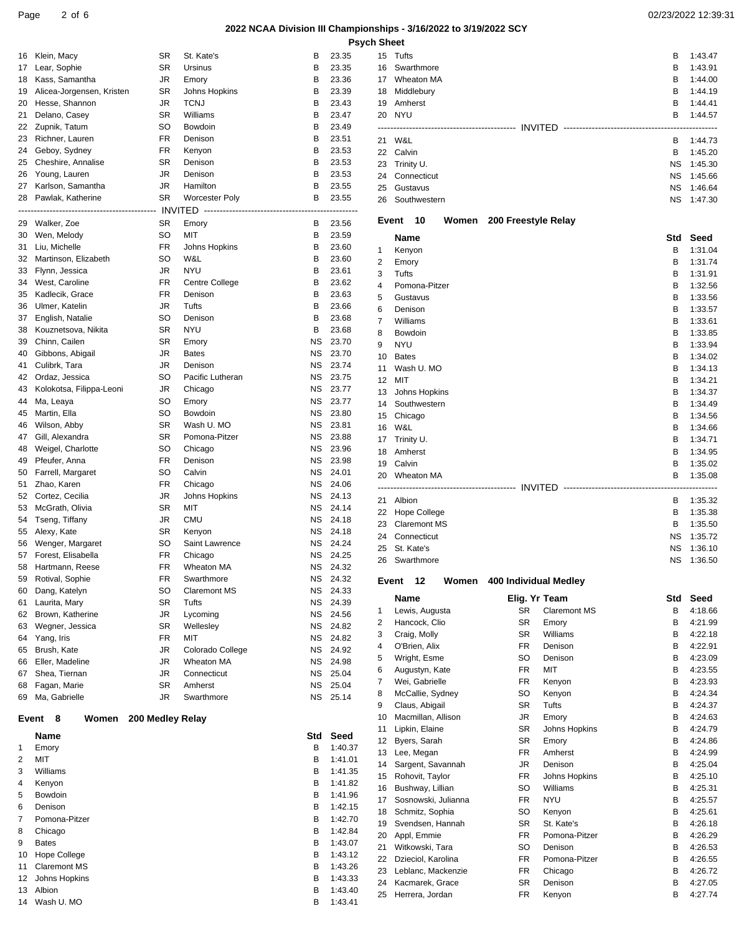#### Page 2 of 6 02/23/2022 12:39:31

## **2022 NCAA Division III Championships - 3/16/2022 to 3/19/2022 SCY Psych Sheet**

| 16       | Klein, Macy                           | SR               | St. Kate's                      | В         | 23.35          |
|----------|---------------------------------------|------------------|---------------------------------|-----------|----------------|
| 17       | Lear, Sophie                          | SR               | Ursinus                         | В         | 23.35          |
| 18       | Kass, Samantha                        | JR               | Emory                           | В         | 23.36          |
| 19       | Alicea-Jorgensen, Kristen             | SR               | Johns Hopkins                   | В         | 23.39          |
| 20       | Hesse, Shannon                        | JR               | TCNJ                            | В         | 23.43          |
| 21       | Delano, Casey                         | SR               | Williams                        | В         | 23.47          |
| 22       | Zupnik, Tatum                         | SO               | Bowdoin                         | В         | 23.49          |
| 23       | Richner, Lauren                       | FR               | Denison                         | В         | 23.51          |
| 24       | Geboy, Sydney                         | FR               | Kenyon                          | В         | 23.53          |
| 25       | Cheshire, Annalise                    | SR               | Denison                         | В         | 23.53          |
| 26       | Young, Lauren                         | JR               | Denison                         | В         | 23.53          |
| 27       | Karlson, Samantha                     | JR               | Hamilton                        | В         | 23.55          |
| 28       | Pawlak, Katherine                     | SR               | <b>Worcester Poly</b>           | В         | 23.55          |
|          | -------------                         |                  | <b>INVITED ----------</b>       |           |                |
|          | 29 Walker, Zoe                        | SR               | Emory                           | В         | 23.56          |
| 30<br>31 | Wen, Melody                           | SO<br><b>FR</b>  | МIТ                             | В<br>В    | 23.59          |
| 32       | Liu, Michelle<br>Martinson, Elizabeth | SO               | Johns Hopkins<br>W&L            | В         | 23.60<br>23.60 |
| 33       | Flynn, Jessica                        | JR               | NYU                             | В         | 23.61          |
| 34       | West, Caroline                        | <b>FR</b>        | Centre College                  | В         | 23.62          |
| 35       | Kadlecik, Grace                       | <b>FR</b>        | Denison                         | В         | 23.63          |
| 36       | Ulmer, Katelin                        | JR               | Tufts                           | В         | 23.66          |
| 37       | English, Natalie                      | SO               | Denison                         | В         | 23.68          |
| 38       | Kouznetsova, Nikita                   | SR               | <b>NYU</b>                      | В         | 23.68          |
| 39       | Chinn, Cailen                         | SR               | Emory                           | ΝS        | 23.70          |
| 40       | Gibbons, Abigail                      | JR               | <b>Bates</b>                    | ΝS        | 23.70          |
| 41       | Culibrk, Tara                         | JR               | Denison                         | ΝS        | 23.74          |
| 42       | Ordaz, Jessica                        | SO               | Pacific Lutheran                | ΝS        | 23.75          |
| 43       | Kolokotsa, Filippa-Leoni              | JR               | Chicago                         | ΝS        | 23.77          |
| 44       | Ma, Leaya                             | SO               | Emory                           | ΝS        | 23.77          |
| 45       | Martin, Ella                          | SO               | Bowdoin                         | ΝS        | 23.80          |
| 46       | Wilson, Abby                          | SR               | Wash U. MO                      | ΝS        | 23.81          |
| 47       | Gill, Alexandra                       | SR               | Pomona-Pitzer                   | ΝS        | 23.88          |
| 48       | Weigel, Charlotte                     | SO               | Chicago                         | ΝS        | 23.96          |
| 49       | Pfeufer, Anna                         | FR               | Denison                         | ΝS        | 23.98          |
| 50       | Farrell, Margaret                     | SO               | Calvin                          | ΝS        | 24.01          |
| 51       | Zhao, Karen                           | FR               | Chicago                         | ΝS        | 24.06          |
| 52       | Cortez, Cecilia                       | JR               | Johns Hopkins                   | ΝS        | 24.13          |
| 53       | McGrath, Olivia                       | SR               | MIT                             | ΝS        | 24.14          |
| 54       | Tseng, Tiffany                        | JR               | <b>CMU</b>                      | ΝS        | 24.18          |
| 55       | Alexy, Kate                           | SR               | Kenyon                          | ΝS        | 24.18          |
| 56       | Wenger, Margaret                      | SO               | Saint Lawrence                  | ΝS        | 24.24          |
| 57       | Forest, Elisabella                    | <b>FR</b>        | Chicago                         | ΝS        | 24.25          |
| 58       | Hartmann, Reese                       | FR               | <b>Wheaton MA</b><br>Swarthmore | <b>NS</b> | 24.32          |
|          | 59 Rotival, Sophie                    | FR               |                                 | NS        | 24.32          |
| 60<br>61 | Dang, Katelyn<br>Laurita, Mary        | SO<br>SR         | <b>Claremont MS</b><br>Tufts    | ΝS<br>ΝS  | 24.33<br>24.39 |
| 62       | Brown, Katherine                      | JR               | Lycoming                        | ΝS        | 24.56          |
| 63       | Wegner, Jessica                       | SR               | Wellesley                       | ΝS        | 24.82          |
| 64       | Yang, Iris                            | FR               | MIT                             | ΝS        | 24.82          |
| 65       | Brush, Kate                           | JR               | Colorado College                | ΝS        | 24.92          |
| 66       | Eller, Madeline                       | JR               | Wheaton MA                      | ΝS        | 24.98          |
| 67       | Shea, Tiernan                         | JR               | Connecticut                     | ΝS        | 25.04          |
| 68       | Fagan, Marie                          | SR               | Amherst                         | <b>NS</b> | 25.04          |
| 69       | Ma, Gabrielle                         | JR               | Swarthmore                      | ΝS        | 25.14          |
|          |                                       |                  |                                 |           |                |
|          | Event<br>Women<br>8                   | 200 Medley Relay |                                 |           |                |
|          | Name                                  |                  |                                 | Std       | Seed           |
| 1        | Emory                                 |                  |                                 | в         | 1:40.37        |
| 2        | MIT                                   |                  |                                 | В         | 1:41.01        |
| 3        | Williams                              |                  |                                 | в         | 1:41.35        |
| 4        | Kenyon                                |                  |                                 | В         | 1:41.82        |
| 5        | Bowdoin                               |                  |                                 | В         | 1:41.96        |
| 6        | Denison                               |                  |                                 | В         | 1:42.15        |

7 Pomona-Pitzer B 1:42.70 8 Chicago B 1:42.84 9 Bates **B** 1:43.07 10 Hope College **B** 1:43.12 11 Claremont MS B 1:43.26 12 Johns Hopkins **B 1:43.33** 13 Albion **B** 1:43.40 14 Wash U. MO B 1:43.41

| 15 Tufts       | В         | 1:43.47 |
|----------------|-----------|---------|
| 16 Swarthmore  | В         | 1:43.91 |
| 17 Wheaton MA  | В         | 1:44.00 |
| 18 Middlebury  | В         | 1:44.19 |
| 19 Amherst     | В         | 1:44.41 |
| 20 NYU         | В         | 1:44.57 |
|                |           |         |
| 21 W&L         | В         | 1:44.73 |
| 22 Calvin      | В         | 1:45.20 |
| 23 Trinity U.  | <b>NS</b> | 1:45.30 |
| 24 Connecticut | <b>NS</b> | 1:45.66 |
|                |           |         |
| 25 Gustavus    | NS.       | 1:46.64 |

#### **Event 10 200 Freestyle Relay Women**

|    | <b>Name</b>         | <b>Std</b> | Seed    |
|----|---------------------|------------|---------|
| 1  | Kenyon              | B          | 1:31.04 |
| 2  | Emory               | B          | 1:31.74 |
| 3  | Tufts               | B          | 1:31.91 |
| 4  | Pomona-Pitzer       | B          | 1:32.56 |
| 5  | Gustavus            | B          | 1:33.56 |
| 6  | Denison             | B          | 1:33.57 |
| 7  | Williams            | B          | 1:33.61 |
| 8  | Bowdoin             | в          | 1:33.85 |
| 9  | <b>NYU</b>          | B          | 1:33.94 |
| 10 | <b>Bates</b>        | в          | 1:34.02 |
| 11 | Wash U. MO          | B          | 1:34.13 |
| 12 | MIT                 | B          | 1:34.21 |
| 13 | Johns Hopkins       | в          | 1:34.37 |
| 14 | Southwestern        | B          | 1:34.49 |
| 15 | Chicago             | B          | 1:34.56 |
| 16 | W&L                 | в          | 1:34.66 |
| 17 | Trinity U.          | в          | 1:34.71 |
| 18 | Amherst             | B          | 1:34.95 |
| 19 | Calvin              | B          | 1:35.02 |
| 20 | Wheaton MA          | В          | 1:35.08 |
|    |                     |            |         |
| 21 | Albion              | B          | 1:35.32 |
| 22 | <b>Hope College</b> | B          | 1:35.38 |
| 23 | <b>Claremont MS</b> | B          | 1:35.50 |
| 24 | Connecticut         | NS         | 1:35.72 |
| 25 | St. Kate's          | <b>NS</b>  | 1:36.10 |
| 26 | Swarthmore          | NS         | 1:36.50 |
|    |                     |            |         |

#### **Event 12 400 Individual Medley Women**

|                | <b>Name</b>         | Elig. Yr Team |               | Std | Seed    |
|----------------|---------------------|---------------|---------------|-----|---------|
| 1              | Lewis, Augusta      | <b>SR</b>     | Claremont MS  | B   | 4:18.66 |
| 2              | Hancock, Clio       | <b>SR</b>     | Emory         | В   | 4:21.99 |
| 3              | Craig, Molly        | <b>SR</b>     | Williams      | B   | 4:22.18 |
| 4              | O'Brien, Alix       | <b>FR</b>     | Denison       | В   | 4:22.91 |
| 5              | Wright, Esme        | SO.           | Denison       | в   | 4:23.09 |
| 6              | Augustyn, Kate      | <b>FR</b>     | <b>MIT</b>    | В   | 4:23.55 |
| $\overline{7}$ | Wei, Gabrielle      | <b>FR</b>     | Kenyon        | в   | 4:23.93 |
| 8              | McCallie, Sydney    | <b>SO</b>     | Kenyon        | В   | 4:24.34 |
| 9              | Claus, Abigail      | <b>SR</b>     | Tufts         | В   | 4:24.37 |
| 10             | Macmillan, Allison  | <b>JR</b>     | Emory         | В   | 4:24.63 |
| 11             | Lipkin, Elaine      | <b>SR</b>     | Johns Hopkins | B   | 4:24.79 |
| 12             | Byers, Sarah        | <b>SR</b>     | Emory         | В   | 4:24.86 |
| 13             | Lee, Megan          | <b>FR</b>     | Amherst       | B   | 4:24.99 |
| 14             | Sargent, Savannah   | JR.           | Denison       | B   | 4:25.04 |
| 15             | Rohovit, Taylor     | <b>FR</b>     | Johns Hopkins | в   | 4:25.10 |
| 16             | Bushway, Lillian    | SO            | Williams      | B   | 4:25.31 |
| 17             | Sosnowski, Julianna | FR.           | <b>NYU</b>    | B   | 4:25.57 |
| 18             | Schmitz, Sophia     | <b>SO</b>     | Kenyon        | B   | 4:25.61 |
| 19             | Svendsen, Hannah    | <b>SR</b>     | St. Kate's    | в   | 4:26.18 |
| 20             | Appl, Emmie         | FR.           | Pomona-Pitzer | В   | 4:26.29 |
| 21             | Witkowski, Tara     | SO            | Denison       | B   | 4:26.53 |
| 22             | Dzieciol, Karolina  | FR.           | Pomona-Pitzer | В   | 4:26.55 |
| 23             | Leblanc, Mackenzie  | FR.           | Chicago       | B   | 4:26.72 |
| 24             | Kacmarek, Grace     | <b>SR</b>     | Denison       | В   | 4:27.05 |
| 25             | Herrera, Jordan     | <b>FR</b>     | Kenyon        | В   | 4:27.74 |
|                |                     |               |               |     |         |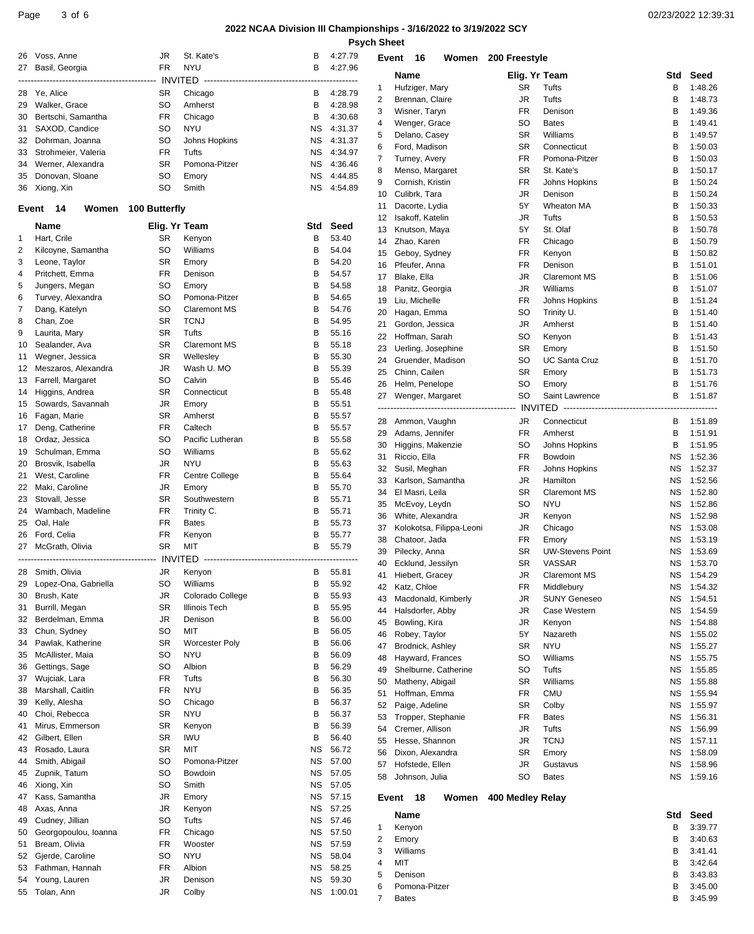## **2022 NCAA Division III Championships - 3/16/2022 to 3/19/2022 SCY Psych Sheet**

| 26       | Voss, Anne                               | JR                     | St. Kate's             | В         | 4:27.79            |                                | Event 16     |                                      | Women 200 Freestyle    |                                   |                 |                    |
|----------|------------------------------------------|------------------------|------------------------|-----------|--------------------|--------------------------------|--------------|--------------------------------------|------------------------|-----------------------------------|-----------------|--------------------|
|          | 27 Basil, Georgia                        | <b>FR</b>              | <b>NYU</b>             | В         | 4:27.96            |                                |              |                                      |                        |                                   |                 |                    |
|          |                                          |                        |                        |           |                    |                                | Name         |                                      | <b>SR</b>              | Elig. Yr Team<br>Tufts            | Std<br>в        | Seed<br>1:48.26    |
|          | 28 Ye, Alice                             | <b>SR</b>              | Chicago                | В         | 4:28.79            | $\mathbf{1}$<br>$\overline{2}$ |              | Hufziger, Mary<br>Brennan, Claire    | JR                     | Tufts                             | B               | 1:48.73            |
| 29       | Walker, Grace                            | <b>SO</b>              | Amherst                | в         | 4:28.98            | 3                              |              | Wisner, Taryn                        | <b>FR</b>              | Denison                           | в               | 1:49.36            |
| 30       | Bertschi, Samantha                       | FR                     | Chicago                | в         | 4:30.68            | 4                              |              | Wenger, Grace                        | <b>SO</b>              | <b>Bates</b>                      | В               | 1:49.41            |
| 31       | SAXOD, Candice                           | <b>SO</b>              | <b>NYU</b>             | <b>NS</b> | 4:31.37            | 5                              |              | Delano, Casey                        | <b>SR</b>              | Williams                          | B               | 1:49.57            |
| 32       | Dohrman, Joanna                          | <b>SO</b>              | Johns Hopkins<br>Tufts | ΝS        | 4:31.37            | 6                              |              | Ford, Madison                        | <b>SR</b>              | Connecticut                       | в               | 1:50.03            |
| 33<br>34 | Strohmeier, Valeria<br>Werner, Alexandra | FR<br>SR               | Pomona-Pitzer          | ΝS<br>ΝS  | 4:34.97<br>4:36.46 | 7                              |              | Turney, Avery                        | <b>FR</b>              | Pomona-Pitzer                     | В               | 1:50.03            |
| 35       | Donovan, Sloane                          | <b>SO</b>              | Emory                  | ΝS        | 4:44.85            | 8                              |              | Menso, Margaret                      | <b>SR</b>              | St. Kate's                        | B               | 1:50.17            |
| 36       | Xiong, Xin                               | <b>SO</b>              | Smith                  | ΝS        | 4:54.89            | 9                              |              | Cornish, Kristin                     | FR                     | Johns Hopkins                     | в               | 1:50.24            |
|          |                                          |                        |                        |           |                    | 10                             |              | Culibrk, Tara                        | <b>JR</b>              | Denison                           | в               | 1:50.24            |
|          | Event 14                                 | Women 100 Butterfly    |                        |           |                    | 11                             |              | Dacorte, Lydia                       | 5Y                     | Wheaton MA                        | B               | 1:50.33            |
|          | Name                                     | Elig. Yr Team          |                        | Std       | Seed               | 12<br>13                       |              | Isakoff, Katelin<br>Knutson, Maya    | JR<br>5Y               | Tufts<br>St. Olaf                 | в<br>В          | 1:50.53<br>1:50.78 |
| 1        | Hart, Crile                              | <b>SR</b>              | Kenyon                 | B         | 53.40              | 14                             |              | Zhao, Karen                          | <b>FR</b>              | Chicago                           | B               | 1:50.79            |
| 2        | Kilcoyne, Samantha                       | <b>SO</b>              | Williams               | В         | 54.04              | 15                             |              | Geboy, Sydney                        | FR                     | Kenyon                            | в               | 1:50.82            |
| 3        | Leone, Taylor                            | SR                     | Emory                  | В         | 54.20              | 16                             |              | Pfeufer, Anna                        | FR                     | Denison                           | в               | 1:51.01            |
| 4        | Pritchett, Emma                          | <b>FR</b>              | Denison                | В         | 54.57              | 17                             |              | Blake, Ella                          | JR                     | <b>Claremont MS</b>               | В               | 1:51.06            |
| 5        | Jungers, Megan                           | <b>SO</b>              | Emory                  | В         | 54.58              | 18                             |              | Panitz, Georgia                      | JR                     | Williams                          | в               | 1:51.07            |
| 6        | Turvey, Alexandra                        | <b>SO</b>              | Pomona-Pitzer          | В         | 54.65              | 19                             |              | Liu, Michelle                        | <b>FR</b>              | Johns Hopkins                     | в               | 1:51.24            |
| 7        | Dang, Katelyn                            | SO                     | Claremont MS           | В         | 54.76              | 20                             |              | Hagan, Emma                          | <sub>SO</sub>          | Trinity U.                        | в               | 1:51.40            |
| 8        | Chan, Zoe                                | <b>SR</b><br><b>SR</b> | <b>TCNJ</b><br>Tufts   | В         | 54.95              | 21                             |              | Gordon, Jessica                      | <b>JR</b>              | Amherst                           | в               | 1:51.40            |
| 9<br>10  | Laurita, Mary<br>Sealander, Ava          | <b>SR</b>              | <b>Claremont MS</b>    | В<br>В    | 55.16<br>55.18     | 22                             |              | Hoffman, Sarah                       | <b>SO</b>              | Kenyon                            | в               | 1:51.43            |
| 11       | Wegner, Jessica                          | <b>SR</b>              | Wellesley              | В         | 55.30              | 23                             |              | Uerling, Josephine                   | <b>SR</b>              | Emory                             | в               | 1:51.50            |
| 12       | Meszaros, Alexandra                      | JR                     | Wash U. MO             | B         | 55.39              | 24                             |              | Gruender, Madison                    | <b>SO</b>              | <b>UC Santa Cruz</b>              | в               | 1:51.70            |
| 13       | Farrell, Margaret                        | SO                     | Calvin                 | В         | 55.46              | 25                             |              | Chinn, Cailen                        | <b>SR</b>              | Emory                             | в               | 1:51.73            |
| 14       | Higgins, Andrea                          | <b>SR</b>              | Connecticut            | В         | 55.48              | 26<br>27                       |              | Helm, Penelope<br>Wenger, Margaret   | <b>SO</b><br><b>SO</b> | Emory<br>Saint Lawrence           | в<br>B          | 1:51.76<br>1:51.87 |
| 15       | Sowards, Savannah                        | JR                     | Emory                  | В         | 55.51              |                                |              |                                      |                        |                                   |                 |                    |
| 16       | Fagan, Marie                             | <b>SR</b>              | Amherst                | В         | 55.57              | 28                             |              | Ammon, Vaughn                        | JR                     | Connecticut                       | В               | 1:51.89            |
| 17       | Deng, Catherine                          | <b>FR</b>              | Caltech                | В         | 55.57              | 29                             |              | Adams, Jennifer                      | <b>FR</b>              | Amherst                           | в               | 1:51.91            |
| 18       | Ordaz, Jessica                           | <b>SO</b>              | Pacific Lutheran       | В         | 55.58              | 30                             |              | Higgins, Makenzie                    | <b>SO</b>              | Johns Hopkins                     | В               | 1:51.95            |
| 19       | Schulman, Emma                           | <b>SO</b>              | Williams               | В         | 55.62              | 31                             |              | Riccio, Ella                         | <b>FR</b>              | Bowdoin                           | ΝS              | 1:52.36            |
| 20       | Brosvik, Isabella                        | JR                     | <b>NYU</b>             | В         | 55.63              | 32                             |              | Susil, Meghan                        | <b>FR</b>              | Johns Hopkins                     | ΝS              | 1:52.37            |
| 21       | West, Caroline                           | <b>FR</b>              | Centre College         | В         | 55.64              | 33                             |              | Karlson, Samantha                    | <b>JR</b>              | Hamilton                          | <b>NS</b>       | 1:52.56            |
| 22       | Maki, Caroline                           | JR                     | Emory<br>Southwestern  | В<br>В    | 55.70              | 34                             |              | El Masri, Leila                      | <b>SR</b>              | <b>Claremont MS</b>               | <b>NS</b>       | 1:52.80            |
| 23<br>24 | Stovall, Jesse<br>Wambach, Madeline      | <b>SR</b><br>FR        | Trinity C.             | В         | 55.71<br>55.71     | 35                             |              | McEvoy, Leydn                        | <b>SO</b>              | <b>NYU</b>                        | <b>NS</b>       | 1:52.86            |
| 25       | Oal. Hale                                | FR                     | <b>Bates</b>           | В         | 55.73              | 36                             |              | White, Alexandra                     | <b>JR</b>              | Kenyon                            | <b>NS</b>       | 1:52.98            |
| 26       | Ford, Celia                              | FR                     | Kenyon                 | В         | 55.77              | 37                             |              | Kolokotsa, Filippa-Leoni             | <b>JR</b>              | Chicago                           | <b>NS</b>       | 1:53.08            |
|          | 27 McGrath, Olivia                       | <b>SR</b>              | MIT                    | В         | 55.79              | 38                             |              | Chatoor, Jada                        | <b>FR</b>              | Emory                             | ΝS              | 1:53.19            |
|          |                                          | INVITED                |                        |           |                    | 39<br>40                       |              | Pilecky, Anna<br>Ecklund, Jessilyn   | <b>SR</b><br><b>SR</b> | <b>UW-Stevens Point</b><br>VASSAR | NS<br>NS        | 1:53.69<br>1:53.70 |
|          | 28 Smith, Olivia                         | JR                     | Kenyon                 |           | B 55.81            | 41                             |              | Hiebert, Gracey                      | JR                     | <b>Claremont MS</b>               |                 | NS 1:54.29         |
| 29       | Lopez-Ona, Gabriella                     | SO                     | Williams               | В         | 55.92              | 42                             |              | Katz, Chloe                          | FR                     | Middlebury                        | ΝS              | 1:54.32            |
| 30       | Brush, Kate                              | <b>JR</b>              | Colorado College       | В         | 55.93              | 43                             |              | Macdonald, Kimberly                  | <b>JR</b>              | <b>SUNY Geneseo</b>               | <b>NS</b>       | 1:54.51            |
| 31       | Burrill, Megan                           | <b>SR</b>              | Illinois Tech          | В         | 55.95              | 44                             |              | Halsdorfer, Abby                     | JR                     | Case Western                      | NS              | 1:54.59            |
| 32       | Berdelman, Emma                          | JR                     | Denison                | В         | 56.00              | 45                             |              | Bowling, Kira                        | JR                     | Kenyon                            | ΝS              | 1:54.88            |
| 33       | Chun, Sydney                             | SO                     | MIT                    | В         | 56.05              | 46                             |              | Robey, Taylor                        | 5Y                     | Nazareth                          | ΝS              | 1:55.02            |
| 34       | Pawlak, Katherine                        | SR                     | <b>Worcester Poly</b>  | В         | 56.06              | 47                             |              | Brodnick, Ashley                     | <b>SR</b>              | <b>NYU</b>                        | NS              | 1:55.27            |
| 35       | McAllister, Maia<br>Gettings, Sage       | SO<br>SO               | <b>NYU</b><br>Albion   | В<br>В    | 56.09<br>56.29     | 48                             |              | Hayward, Frances                     | <b>SO</b>              | Williams                          | ΝS              | 1:55.75            |
| 36<br>37 | Wujciak, Lara                            | FR                     | Tufts                  | В         | 56.30              | 49                             |              | Shelburne, Catherine                 | <b>SO</b>              | Tufts                             | ΝS              | 1:55.85            |
| 38       | Marshall, Caitlin                        | FR                     | <b>NYU</b>             | В         | 56.35              | 50                             |              | Matheny, Abigail                     | <b>SR</b>              | Williams                          | ΝS              | 1:55.88            |
| 39       | Kelly, Alesha                            | SO                     | Chicago                | В         | 56.37              | 51                             |              | Hoffman, Emma                        | FR                     | <b>CMU</b>                        | ΝS              | 1:55.94<br>1:55.97 |
| 40       | Choi, Rebecca                            | <b>SR</b>              | <b>NYU</b>             | В         | 56.37              | 52<br>53                       |              | Paige, Adeline<br>Tropper, Stephanie | <b>SR</b><br>FR        | Colby<br><b>Bates</b>             | ΝS<br><b>NS</b> | 1:56.31            |
| 41       | Mirus, Emmerson                          | SR                     | Kenyon                 | В         | 56.39              | 54                             |              | Cremer, Allison                      | JR                     | Tufts                             | <b>NS</b>       | 1:56.99            |
| 42       | Gilbert, Ellen                           | SR                     | <b>IWU</b>             | В         | 56.40              | 55                             |              | Hesse, Shannon                       | JR                     | <b>TCNJ</b>                       | ΝS              | 1:57.11            |
| 43       | Rosado, Laura                            | SR                     | MIT                    | ΝS        | 56.72              | 56                             |              | Dixon, Alexandra                     | <b>SR</b>              | Emory                             | <b>NS</b>       | 1:58.09            |
| 44       | Smith, Abigail                           | SO                     | Pomona-Pitzer          | <b>NS</b> | 57.00              | 57                             |              | Hofstede, Ellen                      | JR                     | Gustavus                          | <b>NS</b>       | 1:58.96            |
| 45       | Zupnik, Tatum                            | SO                     | Bowdoin                | ΝS        | 57.05              | 58                             |              | Johnson, Julia                       | <b>SO</b>              | <b>Bates</b>                      | ΝS              | 1:59.16            |
| 46       | Xiong, Xin                               | <b>SO</b>              | Smith                  | ΝS        | 57.05              |                                |              |                                      |                        |                                   |                 |                    |
| 47       | Kass, Samantha                           | JR                     | Emory                  | ΝS        | 57.15              |                                | Event 18     | Women                                | 400 Medley Relay       |                                   |                 |                    |
| 48       | Axas, Anna                               | JR                     | Kenyon                 | ΝS        | 57.25              |                                | Name         |                                      |                        |                                   | Std             | Seed               |
| 49       | Cudney, Jillian                          | SO<br>FR               | Tufts                  | ΝS        | 57.46<br>57.50     | 1                              |              | Kenyon                               |                        |                                   | в               | 3:39.77            |
| 50<br>51 | Georgopoulou, Ioanna<br>Bream, Olivia    | FR                     | Chicago<br>Wooster     | ΝS<br>ΝS  | 57.59              | 2                              | Emory        |                                      |                        |                                   | в               | 3:40.63            |
| 52       | Gjerde, Caroline                         | <b>SO</b>              | <b>NYU</b>             | ΝS        | 58.04              | 3                              |              | Williams                             |                        |                                   | В               | 3:41.41            |
| 53       | Fathman, Hannah                          | FR                     | Albion                 | ΝS        | 58.25              | 4                              | MIT          |                                      |                        |                                   | В               | 3:42.64            |
| 54       | Young, Lauren                            | JR                     | Denison                | ΝS        | 59.30              | 5                              |              | Denison                              |                        |                                   | В               | 3:43.83            |
| 55       | Tolan, Ann                               | JR                     | Colby                  | ΝS        | 1:00.01            | 6                              |              | Pomona-Pitzer                        |                        |                                   | в               | 3:45.00            |
|          |                                          |                        |                        |           |                    | 7                              | <b>Bates</b> |                                      |                        |                                   | в               | 3:45.99            |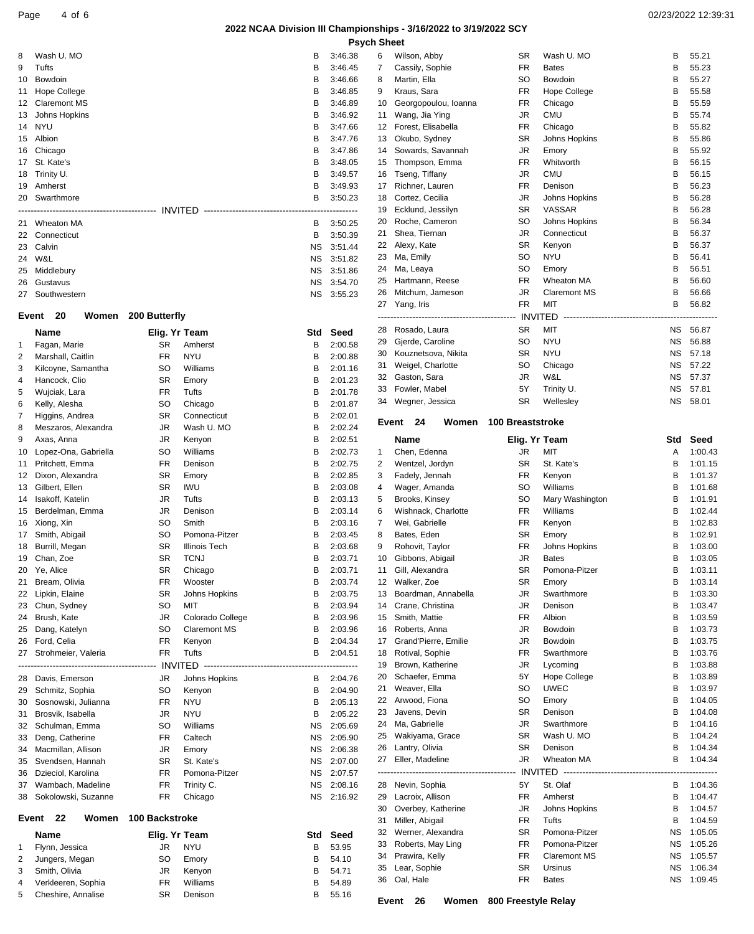**Event 20 200 Butterfly Women**

## **2022 NCAA Division III Championships - 3/16/2022 to 3/19/2022 SCY**

**Psych Sh** 

| 8  | Wash U. MO          | в         | 3:46.38 |
|----|---------------------|-----------|---------|
| 9  | Tufts               | в         | 3:46.45 |
| 10 | Bowdoin             | B         | 3:46.66 |
| 11 | <b>Hope College</b> | в         | 3:46.85 |
| 12 | <b>Claremont MS</b> | в         | 3:46.89 |
| 13 | Johns Hopkins       | в         | 3:46.92 |
| 14 | <b>NYU</b>          | в         | 3:47.66 |
| 15 | Albion              | в         | 3:47.76 |
| 16 | Chicago             | в         | 3:47.86 |
| 17 | St. Kate's          | в         | 3:48.05 |
| 18 | Trinity U.          | B         | 3:49.57 |
| 19 | Amherst             | в         | 3:49.93 |
| 20 | Swarthmore          | в         | 3:50.23 |
|    |                     |           |         |
| 21 | Wheaton MA          | B         | 3:50.25 |
| 22 | Connecticut         | в         | 3:50.39 |
| 23 | Calvin              | NS        | 3:51.44 |
| 24 | W&L                 | <b>NS</b> | 3:51.82 |
| 25 | Middlebury          | NS.       | 3:51.86 |
| 26 | Gustavus            | NS        | 3:54.70 |
| 27 | Southwestern        | <b>NS</b> | 3:55.23 |
|    |                     |           |         |

#### **Name Elig. Yr Team Std** Seed 1 Fagan, Marie SR Amherst B 2:00.58 2 Marshall, Caitlin **FR** NYU B 2:00.88 3 Kilcoyne, Samantha SO Williams B 2:01.16 4 Hancock, Clio SR Emory B 2:01.23 5 Wujciak, Lara **FR** Tufts **B** 2:01.78 6 Kelly, Alesha SO Chicago B 2:01.87 7 Higgins, Andrea SR Connecticut B 2:02.01 8 Meszaros, Alexandra JR Wash U. MO B 2:02.24 Axas, Anna JR Kenyon B 2:02.51 10 Lopez-Ona, Gabriella SO Williams B 2:02.73 11 Pritchett, Emma **FR** Denison **B** 2:02.75 12 Dixon, Alexandra SR Emory B 2:02.85 13 Gilbert, Ellen SR IWU B 2:03.08 14 Isakoff, Katelin **JR** Tufts **B** 2:03.13 15 Berdelman, Emma **JR** Denison **B** 2:03.14 16 Xiong, Xin SO Smith B 2:03.16 17 Smith, Abigail SO Pomona-Pitzer B 2:03.45 18 Burrill, Megan SR Illinois Tech B 2:03.68 19 Chan, Zoe SR TCNJ B 2:03.71 20 Ye, Alice SR Chicago B 2:03.71 21 Bream, Olivia **FR** Wooster **B** 2:03.74 22 Lipkin, Elaine SR Johns Hopkins B 2:03.75 23 Chun, Sydney SO MIT B 2:03.94 24 Brush, Kate **JR** Colorado College B 2:03.96 25 Dang, Katelyn SO Claremont MS B 2:03.96 26 Ford, Celia **FR** Kenyon B 2:04.34 27 Strohmeier, Valeria **FR** Tufts **B** 2:04.51 -------------------------------------------- INVITED ------------------------------------------------- Davis, Emerson JR Johns Hopkins B 2:04.76 29 Schmitz, Sophia SO Kenyon B 2:04.90 30 Sosnowski, Julianna FR NYU B 2:05.13 Brosvik, Isabella JR NYU B 2:05.22 32 Schulman, Emma SO Williams NS 2:05.69 Deng, Catherine FR Caltech NS 2:05.90 34 Macmillan, Allison JR Emory NS 2:06.38 35 Svendsen, Hannah SR St. Kate's NS 2:07.00 36 Dzieciol, Karolina **FR** Pomona-Pitzer NS 2:07.57 37 Wambach, Madeline FR Trinity C. NS 2:08.16 38 Sokolowski, Suzanne FR Chicago NS 2:16.92 **Event 22 100 Backstroke Women Name Elig. Yr Team Std** Seed 1 Flynn, Jessica **JR** NYU B 53.95 2 Jungers, Megan SO Emory B 54.10 3 Smith, Olivia **JR** Kenyon **B** 54.71 4 Verkleeren, Sophia **FR** Williams B 54.89 5 Cheshire, Annalise SR Denison B 55.16

| <b>Sheet</b> |                      |                         |                     |           |         |
|--------------|----------------------|-------------------------|---------------------|-----------|---------|
| 6            | Wilson, Abby         | <b>SR</b>               | Wash U. MO          | В         | 55.21   |
| 7            | Cassily, Sophie      | <b>FR</b>               | <b>Bates</b>        | в         | 55.23   |
| 8            | Martin, Ella         | SO                      | Bowdoin             | В         | 55.27   |
| 9            | Kraus, Sara          | <b>FR</b>               | Hope College        | B         | 55.58   |
| 10           | Georgopoulou, Ioanna | FR                      | Chicago             | в         | 55.59   |
| 11           | Wang, Jia Ying       | JR                      | <b>CMU</b>          | В         | 55.74   |
| 12           | Forest, Elisabella   | <b>FR</b>               | Chicago             | В         | 55.82   |
| 13           | Okubo, Sydney        | SR                      | Johns Hopkins       | В         | 55.86   |
| 14           | Sowards, Savannah    | JR                      | Emory               | В         | 55.92   |
| 15           | Thompson, Emma       | <b>FR</b>               | Whitworth           | В         | 56.15   |
| 16           | Tseng, Tiffany       | JR                      | <b>CMU</b>          | В         | 56.15   |
| 17           | Richner, Lauren      | <b>FR</b>               | Denison             | В         | 56.23   |
| 18           | Cortez, Cecilia      | JR                      | Johns Hopkins       | В         | 56.28   |
| 19           | Ecklund, Jessilyn    | <b>SR</b>               | <b>VASSAR</b>       | В         | 56.28   |
| 20           | Roche, Cameron       | SO                      | Johns Hopkins       | В         | 56.34   |
| 21           | Shea, Tiernan        | JR                      | Connecticut         | В         | 56.37   |
| 22           | Alexy, Kate          | <b>SR</b>               | Kenyon              | В         | 56.37   |
| 23           | Ma, Emily            | <b>SO</b>               | <b>NYU</b>          | В         | 56.41   |
| 24           | Ma, Leaya            | <b>SO</b>               | Emory               | B         | 56.51   |
| 25           | Hartmann, Reese      | <b>FR</b>               | Wheaton MA          | B         | 56.60   |
| 26           | Mitchum, Jameson     | JR                      | <b>Claremont MS</b> | B         | 56.66   |
| 27           | Yang, Iris           | <b>FR</b>               | MIT                 | В         | 56.82   |
|              |                      |                         |                     |           |         |
|              |                      |                         |                     |           |         |
|              | 28 Rosado, Laura     | <b>SR</b>               | MIT                 | NS        | 56.87   |
| 29           | Gjerde, Caroline     | SO                      | <b>NYU</b>          | NS        | 56.88   |
| 30           | Kouznetsova, Nikita  | SR                      | <b>NYU</b>          | NS        | 57.18   |
| 31           | Weigel, Charlotte    | SO                      | Chicago             | NS        | 57.22   |
| 32           | Gaston, Sara         | JR                      | W&L                 | NS        | 57.37   |
| 33           | Fowler, Mabel        | 5Y                      | Trinity U.          | NS        | 57.81   |
| 34           | Wegner, Jessica      | <b>SR</b>               | Wellesley           | <b>NS</b> | 58.01   |
| Event        | 24<br>Women          | <b>100 Breaststroke</b> |                     |           |         |
|              | <b>Name</b>          | Elig. Yr Team           |                     | Std       | Seed    |
| 1            | Chen, Edenna         | JR                      | MIT                 | A         | 1:00.43 |
|              |                      |                         |                     |           |         |
|              |                      |                         |                     |           |         |
| 2            | Wentzel, Jordyn      | <b>SR</b>               | St. Kate's          | В         | 1:01.15 |
| 3            | Fadely, Jennah       | FR                      | Kenyon              | В         | 1:01.37 |
| 4            | Wager, Amanda        | SO                      | Williams            | В         | 1:01.68 |
| 5            | Brooks, Kinsey       | SO                      | Mary Washington     | в         | 1:01.91 |
| 6            | Wishnack, Charlotte  | <b>FR</b>               | Williams            | В         | 1:02.44 |
| 7            | Wei, Gabrielle       | <b>FR</b>               | Kenyon              | B         | 1:02.83 |
| 8            | Bates, Eden          | SR                      | Emory               | в         | 1:02.91 |
| 9            | Rohovit, Taylor      | <b>FR</b>               | Johns Hopkins       | В         | 1:03.00 |
| 10           | Gibbons, Abigail     | JR                      | <b>Bates</b>        | В         | 1:03.05 |
| 11           | Gill, Alexandra      | <b>SR</b>               | Pomona-Pitzer       | В         | 1:03.11 |
| 12           | Walker, Zoe          | SR                      | Emory               | в         | 1:03.14 |
| 13           | Boardman, Annabella  | JR                      | Swarthmore          | В         | 1:03.30 |
| 14           | Crane, Christina     | JR                      | Denison             | В         | 1:03.47 |
| 15           | Smith, Mattie        | FR                      | Albion              | в         | 1:03.59 |
| 16           | Roberts, Anna        | JR                      | Bowdoin             | в         | 1:03.73 |
| 17           | Grand'Pierre, Emilie | JR                      | Bowdoin             | в         | 1:03.75 |
| 18           | Rotival, Sophie      | FR                      | Swarthmore          | в         | 1:03.76 |
| 19           | Brown, Katherine     | JR                      | Lycoming            | в         | 1:03.88 |
| 20           | Schaefer, Emma       | 5Y                      | <b>Hope College</b> | в         | 1:03.89 |
| 21           | Weaver, Ella         | <b>SO</b>               | <b>UWEC</b>         | В         | 1:03.97 |
| 22           | Arwood, Fiona        | <b>SO</b>               | Emory               | в         | 1:04.05 |
| 23           | Javens, Devin        | SR                      | Denison             | в         | 1:04.08 |
| 24           | Ma, Gabrielle        | JR                      | Swarthmore          | в         | 1:04.16 |
| 25           | Wakiyama, Grace      | <b>SR</b>               | Wash U. MO          | в         | 1:04.24 |
| 26           | Lantry, Olivia       | SR                      | Denison             | в         | 1:04.34 |
| 27           | Eller, Madeline      | JR                      | Wheaton MA          | В         | 1:04.34 |
|              |                      |                         |                     |           |         |
| 28           | Nevin, Sophia        | 5Y                      | St. Olaf            | В         | 1:04.36 |
| 29           | Lacroix, Allison     | FR                      | Amherst             | В         | 1:04.47 |
| 30           | Overbey, Katherine   | JR                      | Johns Hopkins       | В         | 1:04.57 |
| 31           | Miller, Abigail      | FR                      | Tufts               | В         | 1:04.59 |
| 32           | Werner, Alexandra    | SR                      | Pomona-Pitzer       | ΝS        | 1:05.05 |
| 33           | Roberts, May Ling    | FR                      | Pomona-Pitzer       | ΝS        | 1:05.26 |
| 34           | Prawira, Kelly       | FR                      | <b>Claremont MS</b> | ΝS        | 1:05.57 |
| 35           | Lear, Sophie         | SR                      | Ursinus             | ΝS        | 1:06.34 |
| 36           | Oal, Hale            | FR                      | <b>Bates</b>        | ΝS        | 1:09.45 |

**Event 26 Women 800 Freestyle Relay**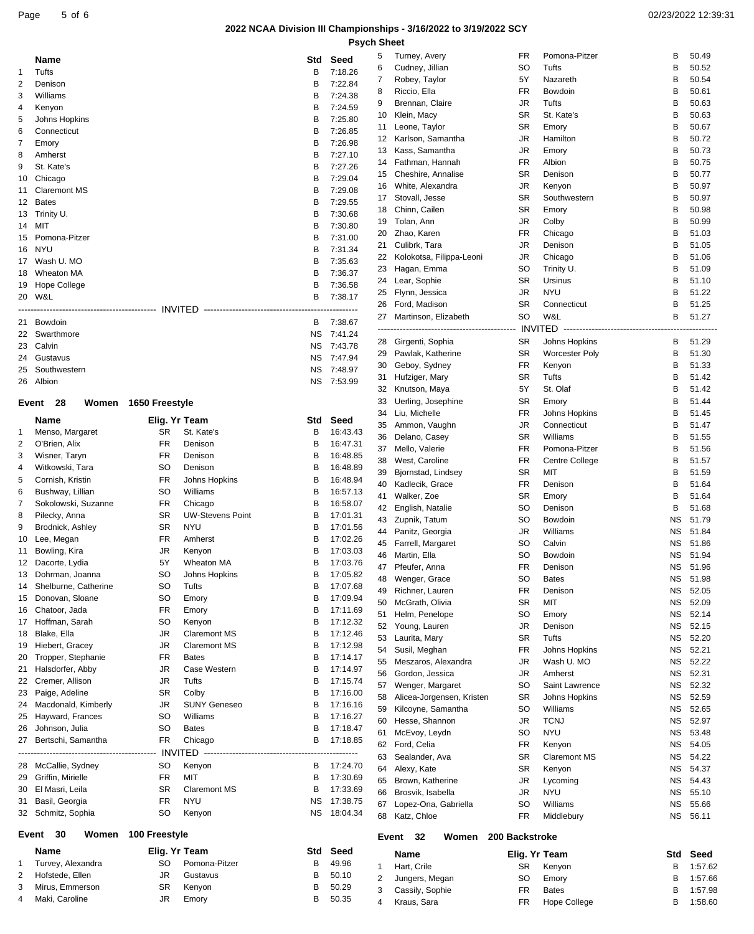# **2022 NCAA Division III Championships - 3/16/2022 to 3/19/2022 SCY**

| Page | , of F | 02/23/2022 12:39:31 |
|------|--------|---------------------|
|      |        |                     |

|    |                      |                      |                         |     |            | <b>Psych Sheet</b> |                           |                |                       |     |         |
|----|----------------------|----------------------|-------------------------|-----|------------|--------------------|---------------------------|----------------|-----------------------|-----|---------|
|    | Name                 |                      |                         | Std | Seed       | 5                  | Turney, Avery             | FR             | Pomona-Pitzer         | В   | 50.49   |
| 1  | Tufts                |                      |                         | В   | 7:18.26    | 6                  | Cudney, Jillian           | <b>SO</b>      | Tufts                 | В   | 50.52   |
|    |                      |                      |                         |     |            | $\overline{7}$     | Robey, Taylor             | 5Y             | Nazareth              | В   | 50.54   |
| 2  | Denison              |                      |                         | В   | 7:22.84    | 8                  | Riccio, Ella              | FR             | Bowdoin               | B   | 50.61   |
| 3  | Williams             |                      |                         | В   | 7:24.38    | 9                  | Brennan, Claire           | JR             | Tufts                 | В   | 50.63   |
| 4  | Kenyon               |                      |                         | В   | 7:24.59    | 10                 | Klein, Macy               | <b>SR</b>      | St. Kate's            | В   | 50.63   |
| 5  | Johns Hopkins        |                      |                         | В   | 7:25.80    | 11                 | Leone, Taylor             | <b>SR</b>      | Emory                 | B   | 50.67   |
| 6  | Connecticut          |                      |                         | В   | 7:26.85    |                    |                           |                | Hamilton              | B   |         |
| 7  | Emory                |                      |                         | В   | 7:26.98    | 12                 | Karlson, Samantha         | JR             |                       |     | 50.72   |
| 8  | Amherst              |                      |                         | В   | 7:27.10    | 13                 | Kass, Samantha            | JR             | Emory                 | В   | 50.73   |
| 9  | St. Kate's           |                      |                         | B   | 7:27.26    | 14                 | Fathman, Hannah           | FR             | Albion                | B   | 50.75   |
| 10 | Chicago              |                      |                         | В   | 7:29.04    | 15                 | Cheshire, Annalise        | <b>SR</b>      | Denison               | В   | 50.77   |
| 11 | <b>Claremont MS</b>  |                      |                         | В   | 7:29.08    | 16                 | White, Alexandra          | JR             | Kenyon                | В   | 50.97   |
| 12 | <b>Bates</b>         |                      |                         | В   | 7:29.55    | 17                 | Stovall, Jesse            | <b>SR</b>      | Southwestern          | B   | 50.97   |
|    |                      |                      |                         |     |            | 18                 | Chinn, Cailen             | <b>SR</b>      | Emory                 | B   | 50.98   |
| 13 | Trinity U.           |                      |                         | В   | 7:30.68    | 19                 | Tolan, Ann                | JR             | Colby                 | B   | 50.99   |
| 14 | MIT                  |                      |                         | В   | 7:30.80    | 20                 | Zhao, Karen               | <b>FR</b>      | Chicago               | B   | 51.03   |
| 15 | Pomona-Pitzer        |                      |                         | В   | 7:31.00    |                    |                           |                |                       |     |         |
| 16 | NYU                  |                      |                         | В   | 7:31.34    | 21                 | Culibrk, Tara             | JR             | Denison               | В   | 51.05   |
| 17 | Wash U. MO           |                      |                         | В   | 7:35.63    | 22                 | Kolokotsa, Filippa-Leoni  | JR             | Chicago               | В   | 51.06   |
| 18 | Wheaton MA           |                      |                         | В   | 7:36.37    | 23                 | Hagan, Emma               | SO             | Trinity U.            | B   | 51.09   |
| 19 | Hope College         |                      |                         | B   | 7:36.58    | 24                 | Lear, Sophie              | <b>SR</b>      | Ursinus               | В   | 51.10   |
|    | 20 W&L               |                      |                         | В   | 7:38.17    | 25                 | Flynn, Jessica            | JR             | <b>NYU</b>            | в   | 51.22   |
|    |                      |                      |                         |     |            | 26                 | Ford. Madison             | <b>SR</b>      | Connecticut           | В   | 51.25   |
|    |                      |                      |                         |     |            | 27                 | Martinson, Elizabeth      | SO             | W&L                   | в   | 51.27   |
| 21 | Bowdoin              |                      |                         |     | B 7:38.67  |                    |                           |                |                       |     |         |
| 22 | Swarthmore           |                      |                         | ΝS  | 7:41.24    |                    |                           |                |                       |     |         |
| 23 | Calvin               |                      |                         | ΝS  | 7:43.78    | 28                 | Girgenti, Sophia          | <b>SR</b>      | Johns Hopkins         | В   | 51.29   |
| 24 | Gustavus             |                      |                         | ΝS  | 7:47.94    | 29                 | Pawlak, Katherine         | <b>SR</b>      | <b>Worcester Poly</b> | В   | 51.30   |
| 25 | Southwestern         |                      |                         | ΝS  | 7:48.97    | 30                 | Geboy, Sydney             | <b>FR</b>      | Kenyon                | в   | 51.33   |
| 26 | Albion               |                      |                         |     | NS 7:53.99 | 31                 | Hufziger, Mary            | <b>SR</b>      | Tufts                 | в   | 51.42   |
|    |                      |                      |                         |     |            | 32                 | Knutson, Maya             | 5Y             | St. Olaf              | в   | 51.42   |
|    | Event 28             | Women 1650 Freestyle |                         |     |            | 33                 | Uerling, Josephine        | <b>SR</b>      | Emory                 | В   | 51.44   |
|    |                      |                      |                         |     |            | 34                 | Liu, Michelle             | FR             | Johns Hopkins         | В   | 51.45   |
|    | Name                 | Elig. Yr Team        |                         | Std | Seed       | 35                 | Ammon, Vaughn             | JR             | Connecticut           | B   | 51.47   |
| -1 | Menso, Margaret      | <b>SR</b>            | St. Kate's              | В   | 16:43.43   |                    |                           | <b>SR</b>      | Williams              |     |         |
| 2  | O'Brien, Alix        | <b>FR</b>            | Denison                 | в   | 16:47.31   | 36                 | Delano, Casey             |                |                       | в   | 51.55   |
| 3  | Wisner, Taryn        | FR                   | Denison                 | В   | 16:48.85   | 37                 | Mello, Valerie            | FR             | Pomona-Pitzer         | В   | 51.56   |
|    |                      | <b>SO</b>            | Denison                 | В   | 16:48.89   | 38                 | West, Caroline            | <b>FR</b>      | Centre College        | В   | 51.57   |
| 4  | Witkowski, Tara      |                      |                         |     |            | 39                 | Bjornstad, Lindsey        | <b>SR</b>      | MIT                   | в   | 51.59   |
| 5  | Cornish, Kristin     | <b>FR</b>            | Johns Hopkins           | в   | 16:48.94   | 40                 | Kadlecik, Grace           | <b>FR</b>      | Denison               | В   | 51.64   |
| 6  | Bushway, Lillian     | SO                   | Williams                | В   | 16:57.13   | 41                 | Walker, Zoe               | <b>SR</b>      | Emory                 | В   | 51.64   |
| 7  | Sokolowski, Suzanne  | FR                   | Chicago                 | В   | 16:58.07   | 42                 | English, Natalie          | SO             | Denison               | В   | 51.68   |
| 8  | Pilecky, Anna        | <b>SR</b>            | <b>UW-Stevens Point</b> | B   | 17:01.31   | 43                 | Zupnik, Tatum             | SO             | Bowdoin               | ΝS  | 51.79   |
| 9  | Brodnick, Ashley     | <b>SR</b>            | <b>NYU</b>              | В   | 17:01.56   |                    | Panitz, Georgia           |                |                       |     |         |
| 10 | Lee, Megan           | FR                   | Amherst                 | В   | 17:02.26   | 44                 |                           | JR             | Williams              | ΝS  | 51.84   |
| 11 | Bowling, Kira        | JR                   | Kenyon                  | B   | 17:03.03   | 45                 | Farrell, Margaret         | SO             | Calvin                | ΝS  | 51.86   |
|    | 12 Dacorte, Lydia    | 5Y                   | Wheaton MA              | B   | 17:03.76   | 46                 | Martin, Ella              | SO             | Bowdoin               | NS. | 51.94   |
|    |                      |                      |                         |     |            | 47                 | Pfeufer, Anna             | <b>FR</b>      | Denison               | NS  | 51.96   |
| 13 | Dohrman, Joanna      | SO                   | Johns Hopkins           | в   | 17:05.82   | 48                 | Wenger, Grace             | <b>SO</b>      | Bates                 | ΝS  | 51.98   |
| 14 | Shelburne, Catherine | SO                   | Tufts                   | B   | 17:07.68   | 49                 | Richner, Lauren           | <b>FR</b>      | Denison               | ΝS  | 52.05   |
| 15 | Donovan, Sloane      | SO                   | Emory                   | В   | 17:09.94   | 50                 | McGrath, Olivia           | <b>SR</b>      | MIT                   | ΝS  | 52.09   |
| 16 | Chatoor, Jada        | FR                   | Emory                   | В   | 17:11.69   | 51                 | Helm, Penelope            | <b>SO</b>      | Emory                 | ΝS  | 52.14   |
| 17 | Hoffman, Sarah       | SO                   | Kenyon                  | В   | 17:12.32   | 52                 | Young, Lauren             | JR             | Denison               | ΝS  | 52.15   |
| 18 | Blake, Ella          | <b>JR</b>            | <b>Claremont MS</b>     | В   | 17:12.46   |                    |                           |                |                       |     |         |
| 19 | Hiebert, Gracey      | JR                   | <b>Claremont MS</b>     | в   | 17:12.98   | 53                 | Laurita, Mary             | SR             | Tufts                 | ΝS  | 52.20   |
| 20 | Tropper, Stephanie   | FR                   | <b>Bates</b>            | В   | 17:14.17   | 54                 | Susil, Meghan             | FR             | Johns Hopkins         | ΝS  | 52.21   |
| 21 | Halsdorfer, Abby     | <b>JR</b>            | Case Western            | B   | 17:14.97   | 55                 | Meszaros, Alexandra       | JR             | Wash U. MO            | ΝS  | 52.22   |
|    | Cremer, Allison      | JR                   | Tufts                   | В   | 17:15.74   | 56                 | Gordon, Jessica           | JR             | Amherst               | ΝS  | 52.31   |
| 22 |                      |                      |                         |     |            | 57                 | Wenger, Margaret          | <sub>SO</sub>  | Saint Lawrence        | ΝS  | 52.32   |
| 23 | Paige, Adeline       | <b>SR</b>            | Colby                   | В   | 17:16.00   | 58                 | Alicea-Jorgensen, Kristen | <b>SR</b>      | Johns Hopkins         | ΝS  | 52.59   |
| 24 | Macdonald, Kimberly  | JR                   | <b>SUNY Geneseo</b>     | В   | 17:16.16   | 59                 | Kilcoyne, Samantha        | <b>SO</b>      | Williams              | ΝS  | 52.65   |
| 25 | Hayward, Frances     | SO                   | Williams                | В   | 17:16.27   | 60                 | Hesse, Shannon            | <b>JR</b>      | <b>TCNJ</b>           | ΝS  | 52.97   |
| 26 | Johnson, Julia       | SO                   | <b>Bates</b>            | В   | 17:18.47   | 61                 | McEvoy, Leydn             | <sub>SO</sub>  | <b>NYU</b>            | ΝS  | 53.48   |
| 27 | Bertschi, Samantha   | <b>FR</b>            | Chicago                 | В   | 17:18.85   |                    |                           |                |                       |     |         |
|    |                      |                      |                         |     |            | 62                 | Ford, Celia               | FR             | Kenyon                | ΝS  | 54.05   |
|    | McCallie, Sydney     | SO                   | Kenyon                  | В   | 17:24.70   | 63                 | Sealander, Ava            | <b>SR</b>      | <b>Claremont MS</b>   | ΝS  | 54.22   |
| 28 |                      |                      |                         |     |            | 64                 | Alexy, Kate               | <b>SR</b>      | Kenyon                | ΝS  | 54.37   |
| 29 | Griffin, Mirielle    | FR                   | MIT                     | В   | 17:30.69   | 65                 | Brown, Katherine          | JR             | Lycoming              | ΝS  | 54.43   |
| 30 | El Masri, Leila      | <b>SR</b>            | <b>Claremont MS</b>     | в   | 17:33.69   | 66                 | Brosvik, Isabella         | JR             | <b>NYU</b>            | ΝS  | 55.10   |
| 31 | Basil, Georgia       | <b>FR</b>            | <b>NYU</b>              | ΝS  | 17:38.75   | 67                 | Lopez-Ona, Gabriella      | <b>SO</b>      | Williams              | ΝS  | 55.66   |
|    | 32 Schmitz, Sophia   | SO                   | Kenyon                  | NS  | 18:04.34   | 68                 | Katz, Chloe               | FR             | Middlebury            | ΝS  | 56.11   |
|    |                      |                      |                         |     |            |                    |                           |                |                       |     |         |
|    | Event 30             | Women 100 Freestyle  |                         |     |            |                    | -32<br>Event<br>Women     | 200 Backstroke |                       |     |         |
|    | Name                 | Elig. Yr Team        |                         | Std | Seed       |                    | Name                      | Elig. Yr Team  |                       | Std | Seed    |
| 1  | Turvey, Alexandra    | <b>SO</b>            | Pomona-Pitzer           | В   | 49.96      | $\mathbf{1}$       | Hart, Crile               | <b>SR</b>      | Kenyon                | В   | 1:57.62 |
| 2  | Hofstede, Ellen      | JR                   | Gustavus                | В   | 50.10      | 2                  | Jungers, Megan            | <sub>SO</sub>  | Emory                 | В   | 1:57.66 |
| 3  | Mirus, Emmerson      | <b>SR</b>            | Kenyon                  | в   | 50.29      |                    |                           |                |                       |     |         |
| 4  | Maki, Caroline       | JR                   | Emory                   | В   | 50.35      | 3                  | Cassily, Sophie           | FR             | <b>Bates</b>          | В   | 1:57.98 |
|    |                      |                      |                         |     |            | $\overline{4}$     | Kraus, Sara               | FR             | <b>Hope College</b>   | в   | 1:58.60 |